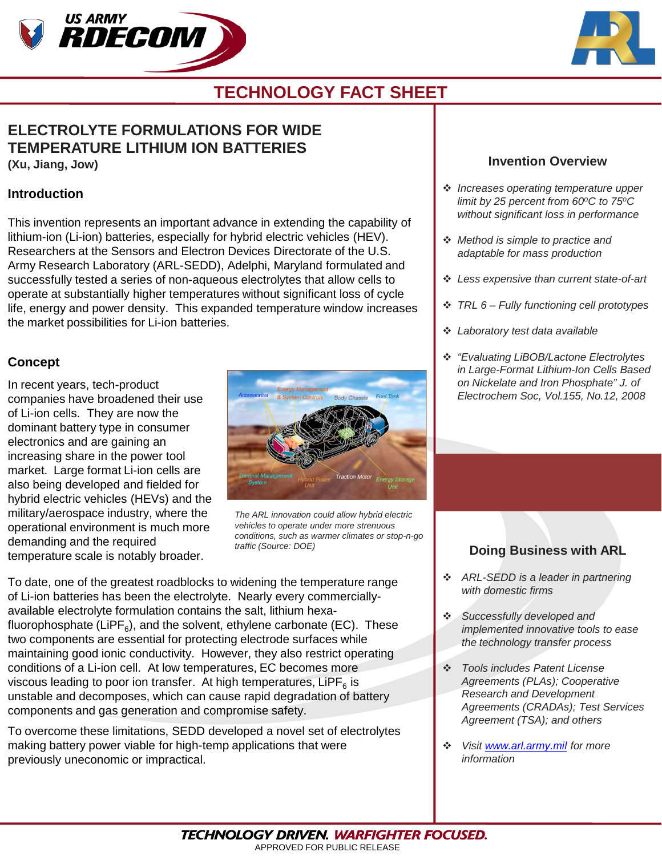



## **TECHNOLOGY FACT SHEET**

## **ELECTROLYTE FORMULATIONS FOR WIDE TEMPERATURE LITHIUM ION BATTERIES (Xu, Jiang, Jow)**

#### **Introduction**

This invention represents an important advance in extending the capability of lithium-ion (Li-ion) batteries, especially for hybrid electric vehicles (HEV). Researchers at the Sensors and Electron Devices Directorate of the U.S. Army Research Laboratory (ARL-SEDD), Adelphi, Maryland formulated and successfully tested a series of non-aqueous electrolytes that allow cells to operate at substantially higher temperatures without significant loss of cycle life, energy and power density. This expanded temperature window increases the market possibilities for Li-ion batteries.

#### **Concept**

In recent years, tech-product companies have broadened their use of Li-ion cells. They are now the dominant battery type in consumer electronics and are gaining an increasing share in the power tool market. Large format Li-ion cells are also being developed and fielded for hybrid electric vehicles (HEVs) and the military/aerospace industry, where the operational environment is much more demanding and the required temperature scale is notably broader.



*The ARL innovation could allow hybrid electric vehicles to operate under more strenuous conditions, such as warmer climates or stop-n-go traffic (Source: DOE)*

To date, one of the greatest roadblocks to widening the temperature range of Li-ion batteries has been the electrolyte. Nearly every commerciallyavailable electrolyte formulation contains the salt, lithium hexafluorophosphate (LiPF $_6$ ), and the solvent, ethylene carbonate (EC). These two components are essential for protecting electrode surfaces while maintaining good ionic conductivity. However, they also restrict operating conditions of a Li-ion cell. At low temperatures, EC becomes more viscous leading to poor ion transfer. At high temperatures,  $LIPF<sub>6</sub>$  is unstable and decomposes, which can cause rapid degradation of battery components and gas generation and compromise safety.

To overcome these limitations, SEDD developed a novel set of electrolytes making battery power viable for high-temp applications that were previously uneconomic or impractical.

#### **Invention Overview**

- *Increases operating temperature upper limit by 25 percent from 60oC to 75oC without significant loss in performance*
- *Method is simple to practice and adaptable for mass production*
- *Less expensive than current state-of-art*
- *TRL 6 – Fully functioning cell prototypes*
- *Laboratory test data available*
- *"Evaluating LiBOB/Lactone Electrolytes in Large-Format Lithium-Ion Cells Based on Nickelate and Iron Phosphate" J. of Electrochem Soc, Vol.155, No.12, 2008*

## **Doing Business with ARL**

- *ARL-SEDD is a leader in partnering with domestic firms*
- *Successfully developed and implemented innovative tools to ease the technology transfer process*
- *Tools includes Patent License Agreements (PLAs); Cooperative Research and Development Agreements (CRADAs); Test Services Agreement (TSA); and others*
- *Visit [www.arl.army.mil](http://www.arl.army.mil/) for more information*